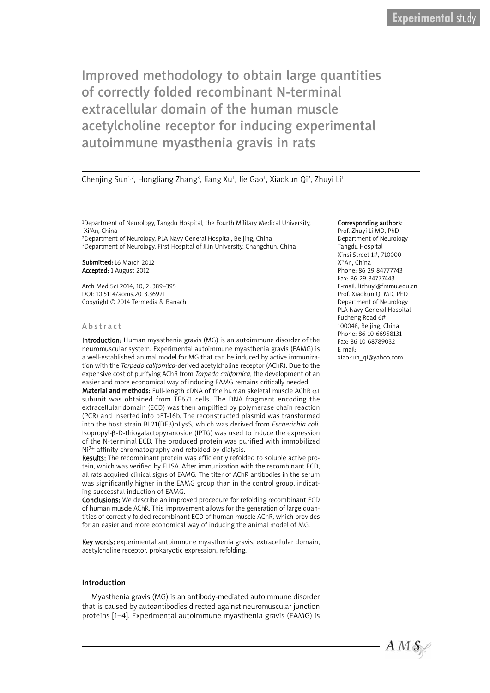Improved methodology to obtain large quantities Improved methodology to obtain large quantities of correctly folded recombinant N-terminal of correctly folded recombinant N-terminal extracellular domain of the human muscle extracellular domain of the human muscle acetylcholine receptor for inducing experimental acetylcholine receptor for inducing experimental autoimmune myasthenia gravis in rats autoimmune myasthenia gravis in rats

Chenjing Sun<sup>1,2</sup>, Hongliang Zhang<sup>3</sup>, Jiang Xu<sup>1</sup>, Jie Gao<sup>1</sup>, Xiaokun Qi<sup>2</sup>, Zhuyi Li<sup>1</sup>

1Department of Neurology, Tangdu Hospital, the Fourth Military Medical University, Xi'An, China 2Department of Neurology, PLA Navy General Hospital, Beijing, China

3Department of Neurology, First Hospital of Jilin University, Changchun, China

Submitted: 16 March 2012 Accepted: 1 August 2012

Arch Med Sci 2014; 10, 2: 389–395 DOI: 10.5114/aoms.2013.36921 Copyright © 2014 Termedia & Banach

#### A b s tr a c t

Introduction: Human myasthenia gravis (MG) is an autoimmune disorder of the neuromuscular system. Experimental autoimmune myasthenia gravis (EAMG) is a well-established animal model for MG that can be induced by active immunization with the *Torpedo californica*-derived acetylcholine receptor (AChR). Due to the expensive cost of purifying AChR from *Torpedo californica*, the development of an easier and more economical way of inducing EAMG remains critically needed.

Material and methods: Full-length cDNA of the human skeletal muscle AChR  $\alpha$ 1 subunit was obtained from TE671 cells. The DNA fragment encoding the extracellular domain (ECD) was then amplified by polymerase chain reaction (PCR) and inserted into pET-16b. The reconstructed plasmid was transformed into the host strain BL21(DE3)pLysS, which was derived from *Escherichia coli.* Isopropyl-β-D-thiogalactopyranoside (IPTG) was used to induce the expression of the N-terminal ECD. The produced protein was purified with immobilized Ni2+ affinity chromatography and refolded by dialysis.

Results: The recombinant protein was efficiently refolded to soluble active protein, which was verified by ELISA. After immunization with the recombinant ECD, all rats acquired clinical signs of EAMG. The titer of AChR antibodies in the serum was significantly higher in the EAMG group than in the control group, indicating successful induction of EAMG.

Conclusions: We describe an improved procedure for refolding recombinant ECD of human muscle AChR. This improvement allows for the generation of large quantities of correctly folded recombinant ECD of human muscle AChR, which provides for an easier and more economical way of inducing the animal model of MG.

Key words: experimental autoimmune myasthenia gravis, extracellular domain, acetylcholine receptor, prokaryotic expression, refolding.

#### Introduction

Myasthenia gravis (MG) is an antibody-mediated autoimmune disorder that is caused by autoantibodies directed against neuromuscular junction proteins [1–4]. Experimental autoimmune myasthenia gravis (EAMG) is

#### Corresponding authors:

Prof. Zhuyi Li MD, PhD Department of Neurology Tangdu Hospital Xinsi Street 1#, 710000 Xi'An, China Phone: 86-29-84777743 Fax: 86-29-84777443 E-mail: lizhuyi@fmmu.edu.cn Prof. Xiaokun Qi MD, PhD Department of Neurology PLA Navy General Hospital Fucheng Road 6# 100048, Beijing, China Phone: 86-10-66958131 Fax: 86-10-68789032 E-mail: xiaokun\_qi@yahoo.com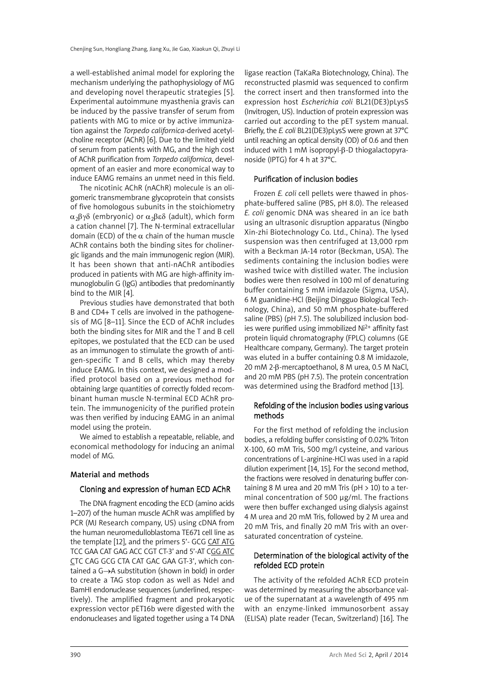a well-established animal model for exploring the mechanism underlying the pathophysiology of MG and developing novel therapeutic strategies [5]. Experimental autoimmune myasthenia gravis can be induced by the passive transfer of serum from patients with MG to mice or by active immunization against the *Torpedo californica*-derived acetylcholine receptor (AChR) [6]. Due to the limited yield of serum from patients with MG, and the high cost of AChR purification from *Torpedo californica*, development of an easier and more economical way to induce EAMG remains an unmet need in this field.

The nicotinic AChR (nAChR) molecule is an oligomeric transmembrane glycoprotein that consists of five homologous subunits in the stoichiometry  $\alpha_2\beta\gamma\delta$  (embryonic) or  $\alpha_2\beta\epsilon\delta$  (adult), which form a cation channel [7]. The N-terminal extracellular domain (ECD) of the α chain of the human muscle AChR contains both the binding sites for cholinergic ligands and the main immunogenic region (MIR). It has been shown that anti-nAChR antibodies produced in patients with MG are high-affinity immunoglobulin G (IgG) antibodies that predominantly bind to the MIR [4].

Previous studies have demonstrated that both B and CD4+ T cells are involved in the pathogenesis of MG [8–11]. Since the ECD of AChR includes both the binding sites for MIR and the T and B cell epitopes, we postulated that the ECD can be used as an immunogen to stimulate the growth of antigen-specific T and B cells, which may thereby induce EAMG. In this context, we designed a modified protocol based on a previous method for obtaining large quantities of correctly folded recombinant human muscle N-terminal ECD AChR protein. The immunogenicity of the purified protein was then verified by inducing EAMG in an animal model using the protein.

We aimed to establish a repeatable, reliable, and economical methodology for inducing an animal model of MG.

#### Material and methods

#### Cloning and expression of human ECD AChR

The DNA fragment encoding the ECD (amino acids 1–207) of the human muscle AChR was amplified by PCR (MJ Research company, US) using cDNA from the human neuromedulloblastoma TE671 cell line as the template [12], and the primers 5'- GCG CAT ATG TCC GAA CAT GAG ACC CGT CT-3' and 5'-AT CGG ATC CTC CAG GCG CTA CAT GAC GAA GT-3', which contained a G→A substitution (shown in bold) in order to create a TAG stop codon as well as NdeI and BamHI endonuclease sequences (underlined, respectively). The amplified fragment and prokaryotic expression vector pET16b were digested with the endonucleases and ligated together using a T4 DNA

ligase reaction (TaKaRa Biotechnology, China). The reconstructed plasmid was sequenced to confirm the correct insert and then transformed into the expression host *Escherichia coli* BL21(DE3)pLysS (Invitrogen, US). Induction of protein expression was carried out according to the pET system manual. Briefly, the *E. coli* BL21(DE3)pLysS were grown at 37°C until reaching an optical density (OD) of 0.6 and then induced with 1 mM isopropyl-β-D thiogalactopyranoside (IPTG) for 4 h at 37°C.

### Purification of inclusion bodies

Frozen *E. coli* cell pellets were thawed in phosphate-buffered saline (PBS, pH 8.0). The released *E. coli* genomic DNA was sheared in an ice bath using an ultrasonic disruption apparatus (Ningbo Xin-zhi Biotechnology Co. Ltd., China). The lysed suspension was then centrifuged at 13,000 rpm with a Beckman JA-14 rotor (Beckman, USA). The sediments containing the inclusion bodies were washed twice with distilled water. The inclusion bodies were then resolved in 100 ml of denaturing buffer containing 5 mM imidazole (Sigma, USA), 6 M guanidine-HCl (Beijing Dingguo Biological Technology, China), and 50 mM phosphate-buffered saline (PBS) (pH 7.5). The solubilized inclusion bodies were purified using immobilized Ni<sup>2+</sup> affinity fast protein liquid chromatography (FPLC) columns (GE Healthcare company, Germany). The target protein was eluted in a buffer containing 0.8 M imidazole, 20 mM 2-β-mercaptoethanol, 8 M urea, 0.5 M NaCl, and 20 mM PBS (pH 7.5). The protein concentration was determined using the Bradford method [13].

## Refolding of the inclusion bodies using various methods

For the first method of refolding the inclusion bodies, a refolding buffer consisting of 0.02% Triton X-100, 60 mM Tris, 500 mg/l cysteine, and various concentrations of L-arginine-HCl was used in a rapid dilution experiment [14, 15]. For the second method, the fractions were resolved in denaturing buffer containing 8 M urea and 20 mM Tris (pH  $>$  10) to a terminal concentration of 500 µg/ml. The fractions were then buffer exchanged using dialysis against 4 M urea and 20 mM Tris, followed by 2 M urea and 20 mM Tris, and finally 20 mM Tris with an oversaturated concentration of cysteine.

## Determination of the biological activity of the refolded ECD protein

The activity of the refolded AChR ECD protein was determined by measuring the absorbance value of the supernatant at a wavelength of 495 nm with an enzyme-linked immunosorbent assay (ELISA) plate reader (Tecan, Switzerland) [16]. The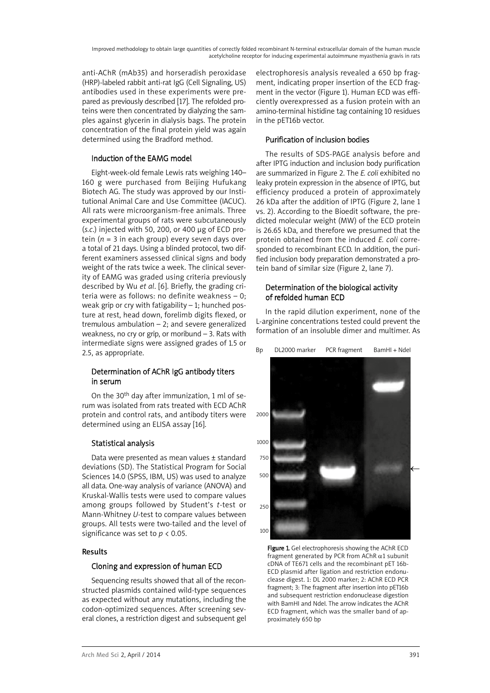Improved methodology to obtain large quantities of correctly folded recombinant N-terminal extracellular domain of the human muscle acetylcholine receptor for inducing experimental autoimmune myasthenia gravis in rats

anti-AChR (mAb35) and horseradish peroxidase (HRP)-labeled rabbit anti-rat IgG (Cell Signaling, US) antibodies used in these experiments were prepared as previously described [17]. The refolded proteins were then concentrated by dialyzing the samples against glycerin in dialysis bags. The protein concentration of the final protein yield was again determined using the Bradford method.

## Induction of the EAMG model

Eight-week-old female Lewis rats weighing 140– 160 g were purchased from Beijing Hufukang Biotech AG. The study was approved by our Institutional Animal Care and Use Committee (IACUC). All rats were microorganism-free animals. Three experimental groups of rats were subcutaneously (*s.c*.) injected with 50, 200, or 400 µg of ECD protein (*n* = 3 in each group) every seven days over a total of 21 days. Using a blinded protocol, two different examiners assessed clinical signs and body weight of the rats twice a week. The clinical severity of EAMG was graded using criteria previously described by Wu *et al*. [6]. Briefly, the grading criteria were as follows: no definite weakness – 0; weak grip or cry with fatigability  $-1$ ; hunched posture at rest, head down, forelimb digits flexed, or tremulous ambulation – 2; and severe generalized weakness, no cry or grip, or moribund – 3. Rats with intermediate signs were assigned grades of 1.5 or 2.5, as appropriate.

## Determination of AChR IgG antibody titers in serum

On the 30th day after immunization, 1 ml of serum was isolated from rats treated with ECD AChR protein and control rats, and antibody titers were determined using an ELISA assay [16].

## Statistical analysis

Data were presented as mean values ± standard deviations (SD). The Statistical Program for Social Sciences 14.0 (SPSS, IBM, US) was used to analyze all data. One-way analysis of variance (ANOVA) and Kruskal-Wallis tests were used to compare values among groups followed by Student's *t*-test or Mann-Whitney *U*-test to compare values between groups. All tests were two-tailed and the level of significance was set to *p* < 0.05.

### Results

## Cloning and expression of human ECD

Sequencing results showed that all of the reconstructed plasmids contained wild-type sequences as expected without any mutations, including the codon-optimized sequences. After screening several clones, a restriction digest and subsequent gel electrophoresis analysis revealed a 650 bp fragment, indicating proper insertion of the ECD fragment in the vector (Figure 1). Human ECD was efficiently overexpressed as a fusion protein with an amino-terminal histidine tag containing 10 residues in the pET16b vector.

## Purification of inclusion bodies

The results of SDS-PAGE analysis before and after IPTG induction and inclusion body purification are summarized in Figure 2. The *E. coli* exhibited no leaky protein expression in the absence of IPTG, but efficiency produced a protein of approximately 26 kDa after the addition of IPTG (Figure 2, lane 1 vs. 2). According to the Bioedit software, the predicted molecular weight (MW) of the ECD protein is 26.65 kDa, and therefore we presumed that the protein obtained from the induced *E. coli* corresponded to recombinant ECD. In addition, the purified inclusion body preparation demonstrated a protein band of similar size (Figure 2, lane 7).

# Determination of the biological activity of refolded human ECD

In the rapid dilution experiment, none of the L-arginine concentrations tested could prevent the formation of an insoluble dimer and multimer. As



Figure 1. Gel electrophoresis showing the AChR ECD fragment generated by PCR from AChR  $\alpha$ 1 subunit cDNA of TE671 cells and the recombinant pET 16b-ECD plasmid after ligation and restriction endonuclease digest. 1: DL 2000 marker; 2: AChR ECD PCR fragment; 3: The fragment after insertion into pET16b and subsequent restriction endonuclease digestion with BamHI and NdeI. The arrow indicates the AChR ECD fragment, which was the smaller band of approximately 650 bp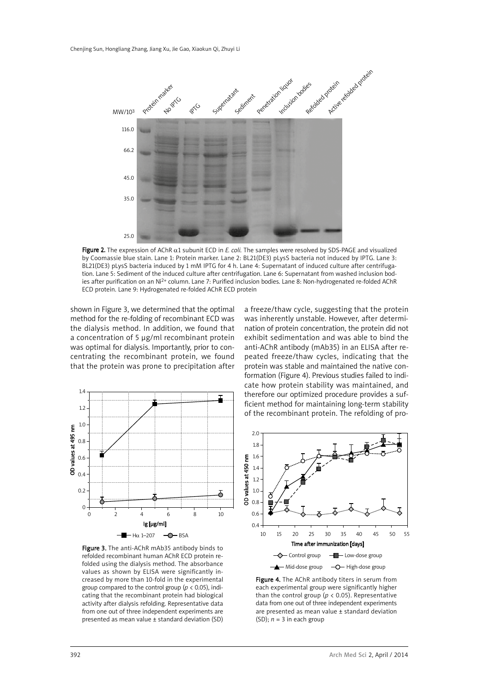

Figure 2. The expression of AChR α1 subunit ECD in *E. coli.* The samples were resolved by SDS-PAGE and visualized by Coomassie blue stain. Lane 1: Protein marker. Lane 2: BL21(DE3) pLysS bacteria not induced by IPTG. Lane 3: BL21(DE3) pLysS bacteria induced by 1 mM IPTG for 4 h. Lane 4: Supernatant of induced culture after centrifugation. Lane 5: Sediment of the induced culture after centrifugation. Lane 6: Supernatant from washed inclusion bodies after purification on an Ni<sup>2+</sup> column. Lane 7: Purified inclusion bodies. Lane 8: Non-hydrogenated re-folded AChR ECD protein. Lane 9: Hydrogenated re-folded AChR ECD protein

shown in Figure 3, we determined that the optimal method for the re-folding of recombinant ECD was the dialysis method. In addition, we found that a concentration of 5 µg/ml recombinant protein was optimal for dialysis. Importantly, prior to concentrating the recombinant protein, we found that the protein was prone to precipitation after



Figure 3. The anti-AChR mAb35 antibody binds to refolded recombinant human AChR ECD protein refolded using the dialysis method. The absorbance values as shown by ELISA were significantly increased by more than 10-fold in the experimental group compared to the control group (*p* < 0.05), indicating that the recombinant protein had biological activity after dialysis refolding. Representative data from one out of three independent experiments are presented as mean value ± standard deviation (SD)

a freeze/thaw cycle, suggesting that the protein was inherently unstable. However, after determination of protein concentration, the protein did not exhibit sedimentation and was able to bind the anti-AChR antibody (mAb35) in an ELISA after repeated freeze/thaw cycles, indicating that the protein was stable and maintained the native conformation (Figure 4). Previous studies failed to indicate how protein stability was maintained, and therefore our optimized procedure provides a sufficient method for maintaining long-term stability of the recombinant protein. The refolding of pro-



Figure 4. The AChR antibody titers in serum from each experimental group were significantly higher than the control group ( $p < 0.05$ ). Representative data from one out of three independent experiments are presented as mean value ± standard deviation (SD);  $n = 3$  in each group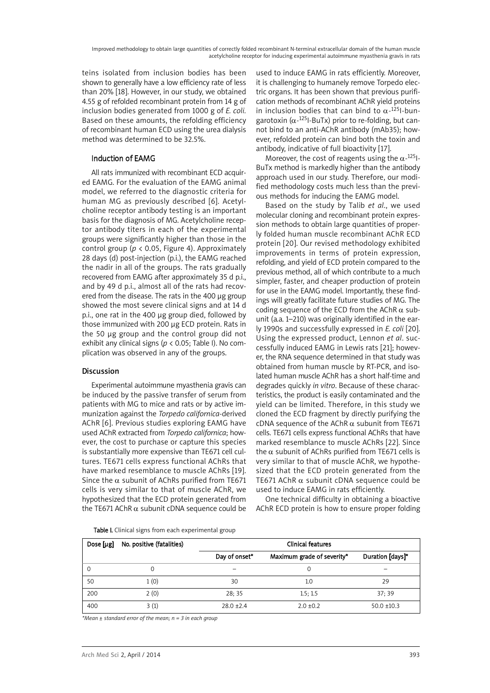Improved methodology to obtain large quantities of correctly folded recombinant N-terminal extracellular domain of the human muscle acetylcholine receptor for inducing experimental autoimmune myasthenia gravis in rats

teins isolated from inclusion bodies has been shown to generally have a low efficiency rate of less than 20% [18]. However, in our study, we obtained 4.55 g of refolded recombinant protein from 14 g of inclusion bodies generated from 1000 g of *E. coli.* Based on these amounts, the refolding efficiency of recombinant human ECD using the urea dialysis method was determined to be 32.5%.

### Induction of EAMG

All rats immunized with recombinant ECD acquired EAMG. For the evaluation of the EAMG animal model, we referred to the diagnostic criteria for human MG as previously described [6]. Acetylcholine receptor antibody testing is an important basis for the diagnosis of MG. Acetylcholine receptor antibody titers in each of the experimental groups were significantly higher than those in the control group ( $p < 0.05$ , Figure 4). Approximately 28 days (d) post-injection (p.i.), the EAMG reached the nadir in all of the groups. The rats gradually recovered from EAMG after approximately 35 d p.i., and by 49 d p.i., almost all of the rats had recovered from the disease. The rats in the 400 µg group showed the most severe clinical signs and at 14 d p.i., one rat in the 400 µg group died, followed by those immunized with 200 µg ECD protein. Rats in the 50 µg group and the control group did not exhibit any clinical signs (*p* < 0.05; Table I). No complication was observed in any of the groups.

### Discussion

Experimental autoimmune myasthenia gravis can be induced by the passive transfer of serum from patients with MG to mice and rats or by active immunization against the *Torpedo californica*-derived AChR [6]. Previous studies exploring EAMG have used AChR extracted from *Torpedo californica*; however, the cost to purchase or capture this species is substantially more expensive than TE671 cell cultures. TE671 cells express functional AChRs that have marked resemblance to muscle AChRs [19]. Since the  $\alpha$  subunit of AChRs purified from TE671 cells is very similar to that of muscle AChR, we hypothesized that the ECD protein generated from the TE671 AChR  $\alpha$  subunit cDNA sequence could be

used to induce EAMG in rats efficiently. Moreover, it is challenging to humanely remove Torpedo electric organs. It has been shown that previous purification methods of recombinant AChR yield proteins in inclusion bodies that can bind to  $\alpha$ -<sup>125</sup>I-bungarotoxin ( $\alpha$ -<sup>125</sup>I-BuTx) prior to re-folding, but cannot bind to an anti-AChR antibody (mAb35); however, refolded protein can bind both the toxin and antibody, indicative of full bioactivity [17].

Moreover, the cost of reagents using the  $\alpha$ <sup>-125</sup>l-BuTx method is markedly higher than the antibody approach used in our study. Therefore, our modified methodology costs much less than the previous methods for inducing the EAMG model.

Based on the study by Talib *et al*., we used molecular cloning and recombinant protein expression methods to obtain large quantities of properly folded human muscle recombinant AChR ECD protein [20]. Our revised methodology exhibited improvements in terms of protein expression, refolding, and yield of ECD protein compared to the previous method, all of which contribute to a much simpler, faster, and cheaper production of protein for use in the EAMG model. Importantly, these findings will greatly facilitate future studies of MG. The coding sequence of the ECD from the AChR  $\alpha$  subunit (a.a. 1–210) was originally identified in the early 1990s and successfully expressed in *E. coli* [20]. Using the expressed product, Lennon *et al*. successfully induced EAMG in Lewis rats [21]; however, the RNA sequence determined in that study was obtained from human muscle by RT-PCR, and isolated human muscle AChR has a short half-time and degrades quickly *in vitro*. Because of these characteristics, the product is easily contaminated and the yield can be limited. Therefore, in this study we cloned the ECD fragment by directly purifying the cDNA sequence of the AChR  $\alpha$  subunit from TE671 cells. TE671 cells express functional AChRs that have marked resemblance to muscle AChRs [22]. Since the  $\alpha$  subunit of AChRs purified from TE671 cells is very similar to that of muscle AChR, we hypothesized that the ECD protein generated from the TE671 AChR  $\alpha$  subunit cDNA sequence could be used to induce EAMG in rats efficiently.

One technical difficulty in obtaining a bioactive AChR ECD protein is how to ensure proper folding

| <b>Table I.</b> Clinical signs from each experimental group |  |  |  |
|-------------------------------------------------------------|--|--|--|
|-------------------------------------------------------------|--|--|--|

| Dose [µg] | No. positive (fatalities) | <b>Clinical features</b> |                            |                  |
|-----------|---------------------------|--------------------------|----------------------------|------------------|
|           |                           | Day of onset*            | Maximum grade of severity* | Duration [days]* |
| 0         |                           |                          | 0                          |                  |
| 50        | 1(0)                      | 30                       | 1.0                        | 29               |
| 200       | 2(0)                      | 28: 35                   | 1.5:1.5                    | 37:39            |
| 400       | 3(1)                      | $28.0 + 2.4$             | $2.0 \pm 0.2$              | $50.0 \pm 10.3$  |

*\*Mean ± standard error of the mean; n = 3 in each group*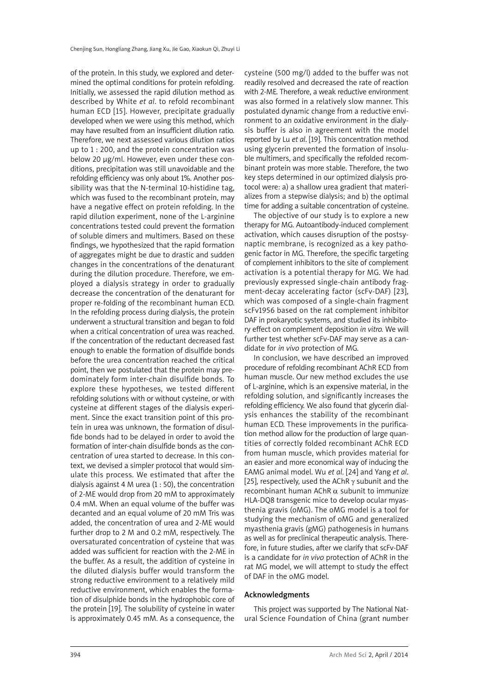of the protein. In this study, we explored and determined the optimal conditions for protein refolding. Initially, we assessed the rapid dilution method as described by White *et al*. to refold recombinant human ECD [15]. However, precipitate gradually developed when we were using this method, which may have resulted from an insufficient dilution ratio. Therefore, we next assessed various dilution ratios up to 1 : 200, and the protein concentration was below 20 µg/ml. However, even under these conditions, precipitation was still unavoidable and the refolding efficiency was only about 1%. Another possibility was that the N-terminal 10-histidine tag, which was fused to the recombinant protein, may have a negative effect on protein refolding. In the rapid dilution experiment, none of the L-arginine concentrations tested could prevent the formation of soluble dimers and multimers. Based on these findings, we hypothesized that the rapid formation of aggregates might be due to drastic and sudden changes in the concentrations of the denaturant during the dilution procedure. Therefore, we employed a dialysis strategy in order to gradually decrease the concentration of the denaturant for proper re-folding of the recombinant human ECD. In the refolding process during dialysis, the protein underwent a structural transition and began to fold when a critical concentration of urea was reached. If the concentration of the reductant decreased fast enough to enable the formation of disulfide bonds before the urea concentration reached the critical point, then we postulated that the protein may predominately form inter-chain disulfide bonds. To explore these hypotheses, we tested different refolding solutions with or without cysteine, or with cysteine at different stages of the dialysis experiment. Since the exact transition point of this protein in urea was unknown, the formation of disulfide bonds had to be delayed in order to avoid the formation of inter-chain disulfide bonds as the concentration of urea started to decrease. In this context, we devised a simpler protocol that would simulate this process. We estimated that after the dialysis against 4 M urea (1 : 50), the concentration of 2-ME would drop from 20 mM to approximately 0.4 mM. When an equal volume of the buffer was decanted and an equal volume of 20 mM Tris was added, the concentration of urea and 2-ME would further drop to 2 M and 0.2 mM, respectively. The oversaturated concentration of cysteine that was added was sufficient for reaction with the 2-ME in the buffer. As a result, the addition of cysteine in the diluted dialysis buffer would transform the strong reductive environment to a relatively mild reductive environment, which enables the formation of disulphide bonds in the hydrophobic core of the protein [19]. The solubility of cysteine in water is approximately 0.45 mM. As a consequence, the

cysteine (500 mg/l) added to the buffer was not readily resolved and decreased the rate of reaction with 2-ME. Therefore, a weak reductive environment was also formed in a relatively slow manner. This postulated dynamic change from a reductive environment to an oxidative environment in the dialysis buffer is also in agreement with the model reported by Lu *et al*. [19]. This concentration method using glycerin prevented the formation of insoluble multimers, and specifically the refolded recombinant protein was more stable. Therefore, the two key steps determined in our optimized dialysis protocol were: a) a shallow urea gradient that materializes from a stepwise dialysis; and b) the optimal time for adding a suitable concentration of cysteine.

The objective of our study is to explore a new therapy for MG. Autoantibody-induced complement activation, which causes disruption of the postsynaptic membrane, is recognized as a key pathogenic factor in MG. Therefore, the specific targeting of complement inhibitors to the site of complement activation is a potential therapy for MG. We had previously expressed single-chain antibody fragment-decay accelerating factor (scFv-DAF) [23], which was composed of a single-chain fragment scFv1956 based on the rat complement inhibitor DAF in prokaryotic systems, and studied its inhibitory effect on complement deposition *in vitro.* We will further test whether scFv-DAF may serve as a candidate for *in vivo* protection of MG.

In conclusion, we have described an improved procedure of refolding recombinant AChR ECD from human muscle. Our new method excludes the use of L-arginine, which is an expensive material, in the refolding solution, and significantly increases the refolding efficiency. We also found that glycerin dialysis enhances the stability of the recombinant human ECD. These improvements in the purification method allow for the production of large quantities of correctly folded recombinant AChR ECD from human muscle, which provides material for an easier and more economical way of inducing the EAMG animal model. Wu *et al*. [24] and Yang *et al*. [25], respectively, used the AChR  $\gamma$  subunit and the recombinant human AChR  $\alpha$  subunit to immunize HLA-DQ8 transgenic mice to develop ocular myasthenia gravis (oMG). The oMG model is a tool for studying the mechanism of oMG and generalized myasthenia gravis (gMG) pathogenesis in humans as well as for preclinical therapeutic analysis. Therefore, in future studies, after we clarify that scFv-DAF is a candidate for *in vivo* protection of AChR in the rat MG model, we will attempt to study the effect of DAF in the oMG model.

#### Acknowledgments

This project was supported by The National Natural Science Foundation of China (grant number